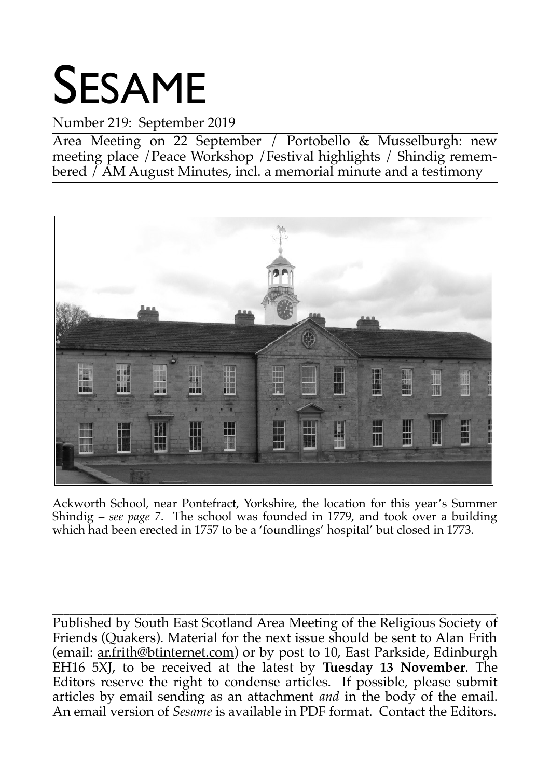# SESAME

#### Number 219: September 2019

Area Meeting on 22 September / Portobello & Musselburgh: new meeting place /Peace Workshop /Festival highlights / Shindig remembered  $\tilde{}/$  AM August Minutes, incl. a memorial minute and a testimony



Ackworth School, near Pontefract, Yorkshire, the location for this year's Summer Shindig – *see page 7*. The school was founded in 1779, and took over a building which had been erected in 1757 to be a 'foundlings' hospital' but closed in 1773.

\_\_\_\_\_\_\_\_\_\_\_\_\_\_\_\_\_\_\_\_\_\_\_\_\_\_\_\_\_\_\_\_\_\_\_\_\_\_\_\_\_\_\_\_\_\_\_\_\_\_\_\_\_\_\_\_\_\_\_\_\_\_\_\_\_\_\_\_\_\_\_\_\_\_\_\_\_\_\_\_ Published by South East Scotland Area Meeting of the Religious Society of Friends (Quakers). Material for the next issue should be sent to Alan Frith (email: ar.frith@btinternet.com) or by post to 10, East Parkside, Edinburgh EH16 5XJ, to be received at the latest by **Tuesday 13 November**. The Editors reserve the right to condense articles. If possible, please submit articles by email sending as an attachment *and* in the body of the email. An email version of *Sesame* is available in PDF format. Contact the Editors.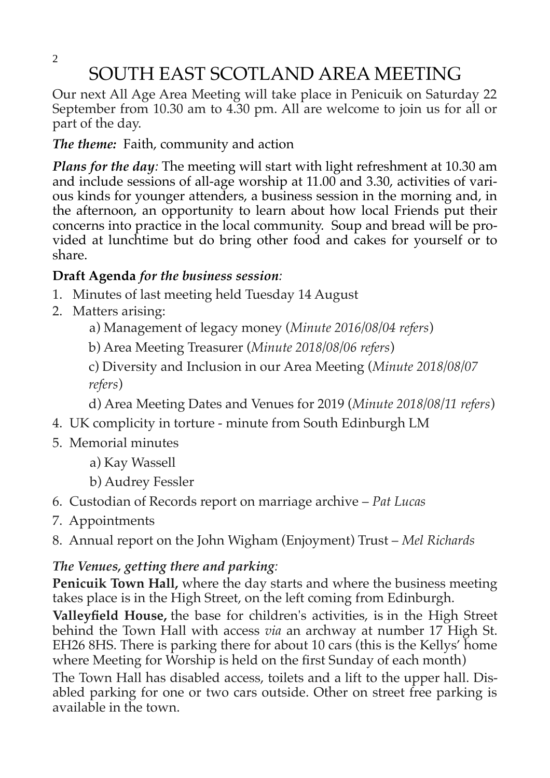SOUTH EAST SCOTLAND AREA MEETING Our next All Age Area Meeting will take place in Penicuik on Saturday 22 September from 10.30 am to 4.30 pm. All are welcome to join us for all or part of the day.

*The theme:* Faith, community and action

*Plans for the day:* The meeting will start with light refreshment at 10.30 am and include sessions of all-age worship at 11.00 and 3.30, activities of various kinds for younger attenders, a business session in the morning and, in the afternoon, an opportunity to learn about how local Friends put their concerns into practice in the local community. Soup and bread will be provided at lunchtime but do bring other food and cakes for yourself or to share.

#### **Draft Agenda** *for the business session:*

- 1. Minutes of last meeting held Tuesday 14 August
- 2. Matters arising:
	- a) Management of legacy money (*Minute 2016/08/04 refers*)
	- b) Area Meeting Treasurer (*Minute 2018/08/06 refers*)

c) Diversity and Inclusion in our Area Meeting (*Minute 2018/08/07 refers*)

d) Area Meeting Dates and Venues for 2019 (*Minute 2018/08/11 refers*)

- 4. UK complicity in torture minute from South Edinburgh LM
- 5. Memorial minutes
	- a) Kay Wassell
	- b) Audrey Fessler
- 6. Custodian of Records report on marriage archive *Pat Lucas*
- 7. Appointments
- 8. Annual report on the John Wigham (Enjoyment) Trust *Mel Richards*

#### *The Venues, getting there and parking:*

**Penicuik Town Hall,** where the day starts and where the business meeting takes place is in the High Street, on the left coming from Edinburgh.

**Valleyfield House,** the base for children's activities, is in the High Street behind the Town Hall with access *via* an archway at number 17 High St. EH26 8HS. There is parking there for about 10 cars (this is the Kellys' home where Meeting for Worship is held on the first Sunday of each month)

The Town Hall has disabled access, toilets and a lift to the upper hall. Disabled parking for one or two cars outside. Other on street free parking is available in the town.

2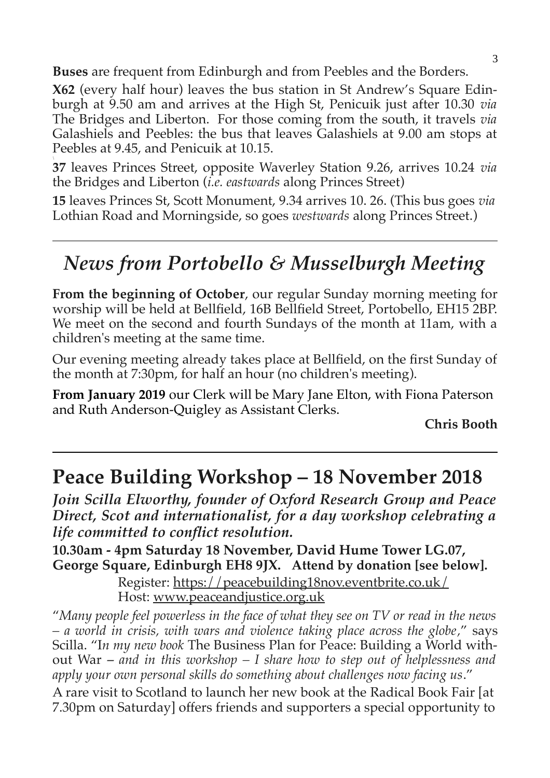**Buses** are frequent from Edinburgh and from Peebles and the Borders.

**X62** (every half hour) leaves the bus station in St Andrew's Square Edinburgh at 9.50 am and arrives at the High St, Penicuik just after 10.30 *via* The Bridges and Liberton. For those coming from the south, it travels *via* Galashiels and Peebles: the bus that leaves Galashiels at 9.00 am stops at Peebles at 9.45, and Penicuik at 10.15.

**37** leaves Princes Street, opposite Waverley Station 9.26, arrives 10.24 *via* the Bridges and Liberton (*i.e. eastwards* along Princes Street)

**15** leaves Princes St, Scott Monument, 9.34 arrives 10. 26. (This bus goes *via* Lothian Road and Morningside, so goes *westwards* along Princes Street.)

# *News from Portobello & Musselburgh Meeting*

**From the beginning of October**, our regular Sunday morning meeting for worship will be held at Bellfield, 16B Bellfield Street, Portobello, EH15 2BP. We meet on the second and fourth Sundays of the month at 11am, with a children's meeting at the same time.

Our evening meeting already takes place at Bellfield, on the first Sunday of the month at 7:30pm, for half an hour (no children's meeting).

**From January 2019** our Clerk will be Mary Jane Elton, with Fiona Paterson and Ruth Anderson-Quigley as Assistant Clerks.

**Chris Booth**

## **Peace Building Workshop – 18 November 2018**

*Join Scilla Elworthy, founder of Oxford Research Group and Peace Direct, Scot and internationalist, for a day workshop celebrating a life committed to conflict resolution.* 

**10.30am - 4pm Saturday 18 November, David Hume Tower LG.07, George Square, Edinburgh EH8 9JX. Attend by donation [see below].**

Register: [https://peacebuilding18nov.eventbrite.co.uk /](https://peacebuilding18nov.eventbrite.co.uk/) Host: [www.peaceandjustice.org.uk](http://www.peaceandjustice.org.uk/)

"*Many people feel powerless in the face of what they see on TV or read in the news – a world in crisis, with wars and violence taking place across the globe,*" says Scilla. "I*n my new book* The Business Plan for Peace: Building a World without War *– and in this workshop – I share how to step out of helplessness and apply your own personal skills do something about challenges now facing us*."

A rare visit to Scotland to launch her new book at the [Radical Book Fair](http://lighthousebookshop.com/events/) [at 7.30pm on Saturday] offers friends and supporters a special opportunity to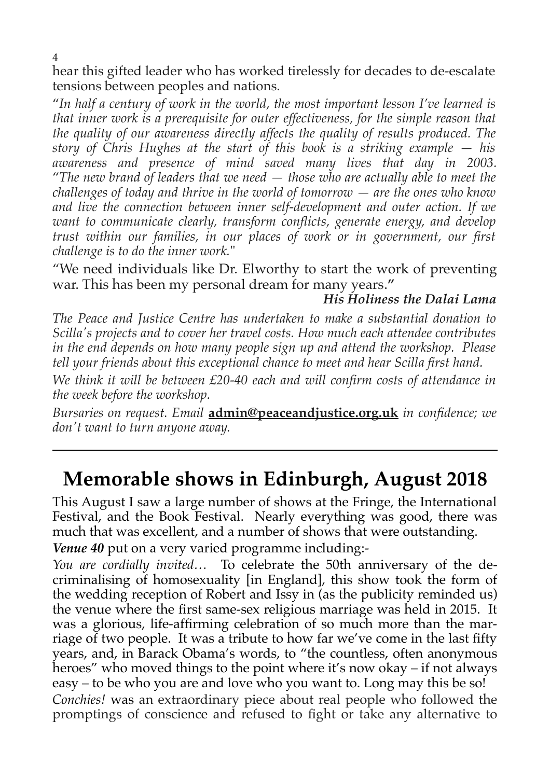hear this gifted leader who has worked tirelessly for decades to de-escalate tensions between peoples and nations.

"*In half a century of work in the world, the most important lesson I've learned is that inner work is a prerequisite for outer effectiveness, for the simple reason that the quality of our awareness directly affects the quality of results produced. The story of Chris Hughes at the start of this book is a striking example — his awareness and presence of mind saved many lives that day in 2003.* "*The new brand of leaders that we need — those who are actually able to meet the challenges of today and thrive in the world of tomorrow — are the ones who know and live the connection between inner self-development and outer action. If we want to communicate clearly, transform conflicts, generate energy, and develop trust within our families, in our places of work or in government, our first challenge is to do the inner work.*"

"We need individuals like Dr. Elworthy to start the work of preventing war. This has been my personal dream for many years.**"** 

#### *His Holiness the Dalai Lama*

*The [Peace and Justice Centre](http://www.peaceandjustice.org.uk/) has undertaken to make a substantial donation to Scilla's projects and to cover her travel costs. How much each attendee contributes in the end depends on how many people sign up and attend the workshop. Please tell your friends about this exceptional chance to meet and hear Scilla first hand.*

*We think it will be between £20-40 each and will confirm costs of attendance in the week before the workshop.*

*Bursaries on request. Email* **admin@peaceandjustice.org.uk** *in confidence; we don't want to turn anyone away.* 

## **Memorable shows in Edinburgh, August 2018**

This August I saw a large number of shows at the Fringe, the International Festival, and the Book Festival. Nearly everything was good, there was much that was excellent, and a number of shows that were outstanding. *Venue 40* put on a very varied programme including:-

*You are cordially invited…* To celebrate the 50th anniversary of the decriminalising of homosexuality [in England], this show took the form of the wedding reception of Robert and Issy in (as the publicity reminded us) the venue where the first same-sex religious marriage was held in 2015. It was a glorious, life-affirming celebration of so much more than the marriage of two people. It was a tribute to how far we've come in the last fifty years, and, in Barack Obama's words, to "the countless, often anonymous heroes" who moved things to the point where it's now okay – if not always easy – to be who you are and love who you want to. Long may this be so! *Conchies!* was an extraordinary piece about real people who followed the promptings of conscience and refused to fight or take any alternative to

4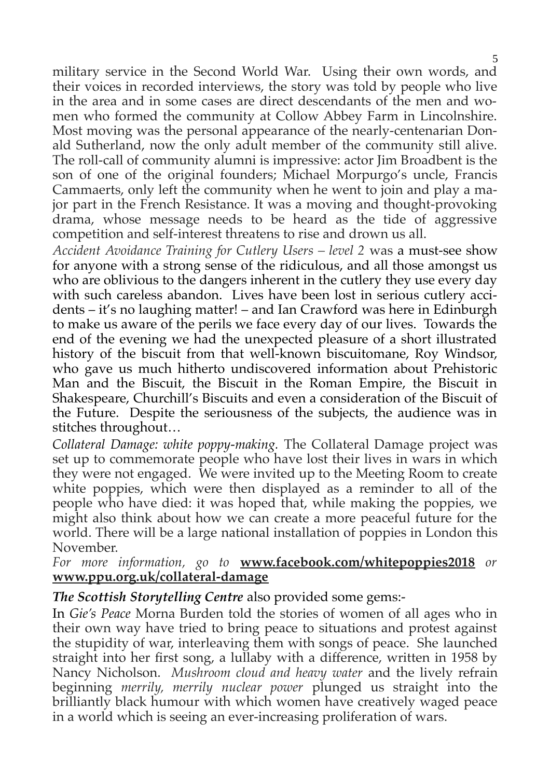military service in the Second World War. Using their own words, and their voices in recorded interviews, the story was told by people who live in the area and in some cases are direct descendants of the men and women who formed the community at Collow Abbey Farm in Lincolnshire. Most moving was the personal appearance of the nearly-centenarian Donald Sutherland, now the only adult member of the community still alive. The roll-call of community alumni is impressive: actor Jim Broadbent is the son of one of the original founders; Michael Morpurgo's uncle, Francis Cammaerts, only left the community when he went to join and play a major part in the French Resistance. It was a moving and thought-provoking drama, whose message needs to be heard as the tide of aggressive competition and self-interest threatens to rise and drown us all.

*Accident Avoidance Training for Cutlery Users – level 2* was a must-see show for anyone with a strong sense of the ridiculous, and all those amongst us who are oblivious to the dangers inherent in the cutlery they use every day with such careless abandon. Lives have been lost in serious cutlery accidents – it's no laughing matter! – and Ian Crawford was here in Edinburgh to make us aware of the perils we face every day of our lives. Towards the end of the evening we had the unexpected pleasure of a short illustrated history of the biscuit from that well-known biscuitomane, Roy Windsor, who gave us much hitherto undiscovered information about Prehistoric Man and the Biscuit, the Biscuit in the Roman Empire, the Biscuit in Shakespeare, Churchill's Biscuits and even a consideration of the Biscuit of the Future. Despite the seriousness of the subjects, the audience was in stitches throughout…

*Collateral Damage: white poppy-making.* The Collateral Damage project was set up to commemorate people who have lost their lives in wars in which they were not engaged. We were invited up to the Meeting Room to create white poppies, which were then displayed as a reminder to all of the people who have died: it was hoped that, while making the poppies, we might also think about how we can create a more peaceful future for the world. There will be a large national installation of poppies in London this November.

#### *For more information, go to* **[www.facebook.com/whitepoppies2018](http://www.facebook.com/whitepoppies2018)** *or* **[www.ppu.org.uk/collateral-damage](http://www.ppu.org.uk/collateral-damage)**

#### *The Scottish Storytelling Centre* also provided some gems:-

In *Gie's Peace* Morna Burden told the stories of women of all ages who in their own way have tried to bring peace to situations and protest against the stupidity of war, interleaving them with songs of peace. She launched straight into her first song, a lullaby with a difference, written in 1958 by Nancy Nicholson. *Mushroom cloud and heavy water* and the lively refrain beginning *merrily, merrily nuclear power* plunged us straight into the brilliantly black humour with which women have creatively waged peace in a world which is seeing an ever-increasing proliferation of wars.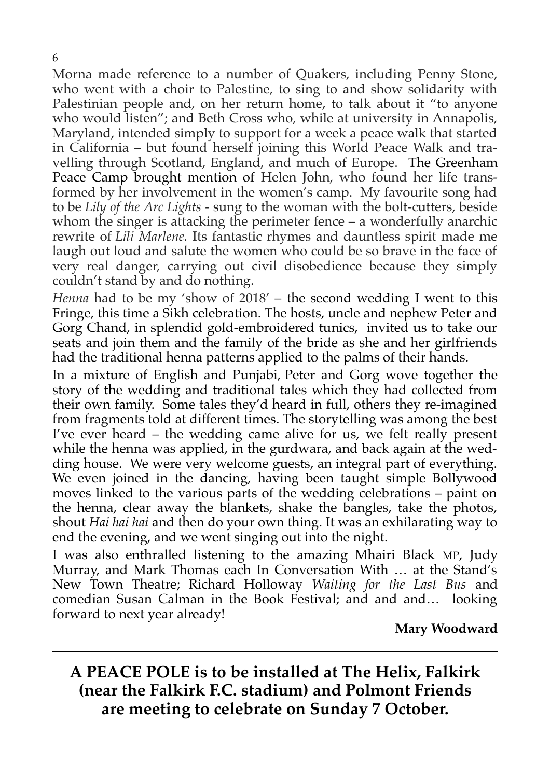Morna made reference to a number of Quakers, including Penny Stone, who went with a choir to Palestine, to sing to and show solidarity with Palestinian people and, on her return home, to talk about it "to anyone who would listen"; and Beth Cross who, while at university in Annapolis, Maryland, intended simply to support for a week a peace walk that started in California – but found herself joining this World Peace Walk and travelling through Scotland, England, and much of Europe. The Greenham Peace Camp brought mention of Helen John, who found her life transformed by her involvement in the women's camp. My favourite song had to be *Lily of the Arc Lights* - sung to the woman with the bolt-cutters, beside whom the singer is attacking the perimeter fence – a wonderfully anarchic rewrite of *Lili Marlene.* Its fantastic rhymes and dauntless spirit made me laugh out loud and salute the women who could be so brave in the face of very real danger, carrying out civil disobedience because they simply couldn't stand by and do nothing.

*Henna* had to be my 'show of 2018' – the second wedding I went to this Fringe, this time a Sikh celebration. The hosts, uncle and nephew Peter and Gorg Chand, in splendid gold-embroidered tunics, invited us to take our seats and join them and the family of the bride as she and her girlfriends had the traditional henna patterns applied to the palms of their hands.

In a mixture of English and Punjabi, Peter and Gorg wove together the story of the wedding and traditional tales which they had collected from their own family. Some tales they'd heard in full, others they re-imagined from fragments told at different times. The storytelling was among the best I've ever heard – the wedding came alive for us, we felt really present while the henna was applied, in the gurdwara, and back again at the wedding house. We were very welcome guests, an integral part of everything. We even joined in the dancing, having been taught simple Bollywood moves linked to the various parts of the wedding celebrations – paint on the henna, clear away the blankets, shake the bangles, take the photos, shout *Hai hai hai* and then do your own thing. It was an exhilarating way to end the evening, and we went singing out into the night.

I was also enthralled listening to the amazing Mhairi Black MP, Judy Murray, and Mark Thomas each In Conversation With … at the Stand's New Town Theatre; Richard Holloway *Waiting for the Last Bus* and comedian Susan Calman in the Book Festival; and and and… looking forward to next year already!

**Mary Woodward**

## **A PEACE POLE is to be installed at The Helix, Falkirk (near the Falkirk F.C. stadium) and Polmont Friends are meeting to celebrate on Sunday 7 October.**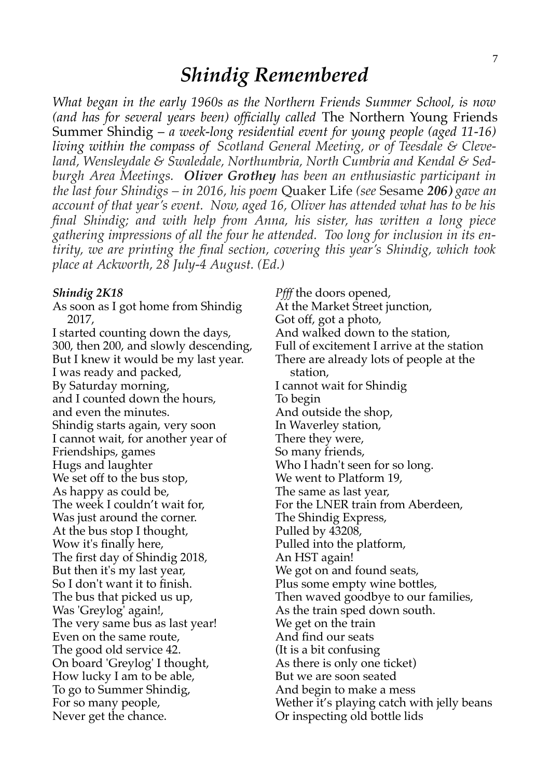*What began in the early 1960s as the Northern Friends Summer School, is now (and has for several years been) officially called* The Northern Young Friends Summer Shindig – *a week-long residential event for young people (aged 11-16) living within the compass of Scotland General Meeting, or of Teesdale & Cleveland, Wensleydale & Swaledale, Northumbria, North Cumbria and Kendal & Sedburgh Area Meetings. Oliver Grothey has been an enthusiastic participant in the last four Shindigs – in 2016, his poem* Quaker Life *(see* Sesame *206) gave an account of that year's event. Now, aged 16, Oliver has attended what has to be his final Shindig; and with help from Anna, his sister, has written a long piece gathering impressions of all the four he attended. Too long for inclusion in its entirity, we are printing the final section, covering this year's Shindig, which took place at Ackworth, 28 July-4 August. (Ed.)*

#### *Shindig 2K18*

As soon as I got home from Shindig 2017, I started counting down the days, 300, then 200, and slowly descending, But I knew it would be my last year. I was ready and packed, By Saturday morning, and I counted down the hours, and even the minutes. Shindig starts again, very soon I cannot wait, for another year of Friendships, games Hugs and laughter We set off to the bus stop, As happy as could be, The week I couldn't wait for, Was just around the corner. At the bus stop I thought, Wow it's finally here, The first day of Shindig 2018, But then it's my last year, So I don't want it to finish. The bus that picked us up, Was 'Greylog' again!, The very same bus as last year! Even on the same route, The good old service 42. On board 'Greylog' I thought, How lucky I am to be able, To go to Summer Shindig, For so many people, Never get the chance.

*Pfff* the doors opened, At the Market Street junction, Got off, got a photo, And walked down to the station, Full of excitement I arrive at the station There are already lots of people at the station, I cannot wait for Shindig To begin And outside the shop, In Waverley station, There they were, So many friends, Who I hadn't seen for so long. We went to Platform 19, The same as last year, For the LNER train from Aberdeen, The Shindig Express, Pulled by 43208, Pulled into the platform, An HST again! We got on and found seats, Plus some empty wine bottles, Then waved goodbye to our families, As the train sped down south. We get on the train And find our seats (It is a bit confusing As there is only one ticket) But we are soon seated And begin to make a mess Wether it's playing catch with jelly beans Or inspecting old bottle lids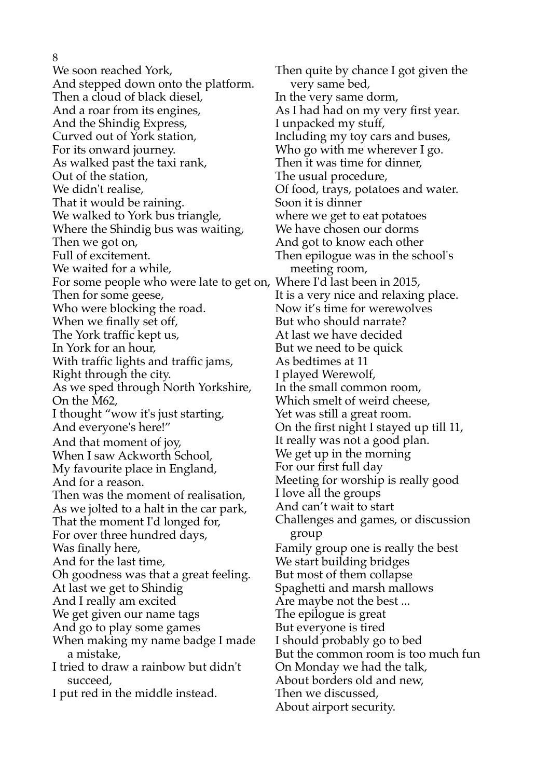8 We soon reached York, And stepped down onto the platform. Then a cloud of black diesel, And a roar from its engines, And the Shindig Express, Curved out of York station, For its onward journey. As walked past the taxi rank, Out of the station, We didn't realise, That it would be raining. We walked to York bus triangle, Where the Shindig bus was waiting, Then we got on, Full of excitement. We waited for a while, Then for some geese, Who were blocking the road. When we finally set off, The York traffic kept us, In York for an hour,

With traffic lights and traffic jams, Right through the city. As we sped through North Yorkshire, On the M62, I thought "wow it's just starting, And everyone's here!" And that moment of joy, When I saw Ackworth School, My favourite place in England, And for a reason. Then was the moment of realisation, As we jolted to a halt in the car park, That the moment I'd longed for, For over three hundred days, Was finally here, And for the last time, Oh goodness was that a great feeling. At last we get to Shindig And I really am excited We get given our name tags And go to play some games When making my name badge I made a mistake, I tried to draw a rainbow but didn't

 succeed, I put red in the middle instead.

For some people who were late to get on, Where I'd last been in 2015, Then quite by chance I got given the very same bed, In the very same dorm, As I had had on my very first year. I unpacked my stuff, Including my toy cars and buses, Who go with me wherever I go. Then it was time for dinner, The usual procedure, Of food, trays, potatoes and water. Soon it is dinner where we get to eat potatoes We have chosen our dorms And got to know each other Then epilogue was in the school's meeting room, It is a very nice and relaxing place. Now it's time for werewolves But who should narrate? At last we have decided But we need to be quick As bedtimes at 11 I played Werewolf, In the small common room, Which smelt of weird cheese, Yet was still a great room. On the first night I stayed up till 11, It really was not a good plan. We get up in the morning For our first full day Meeting for worship is really good I love all the groups And can't wait to start Challenges and games, or discussion group Family group one is really the best We start building bridges But most of them collapse Spaghetti and marsh mallows Are maybe not the best ... The epilogue is great But everyone is tired I should probably go to bed But the common room is too much fun On Monday we had the talk, About borders old and new, Then we discussed, About airport security.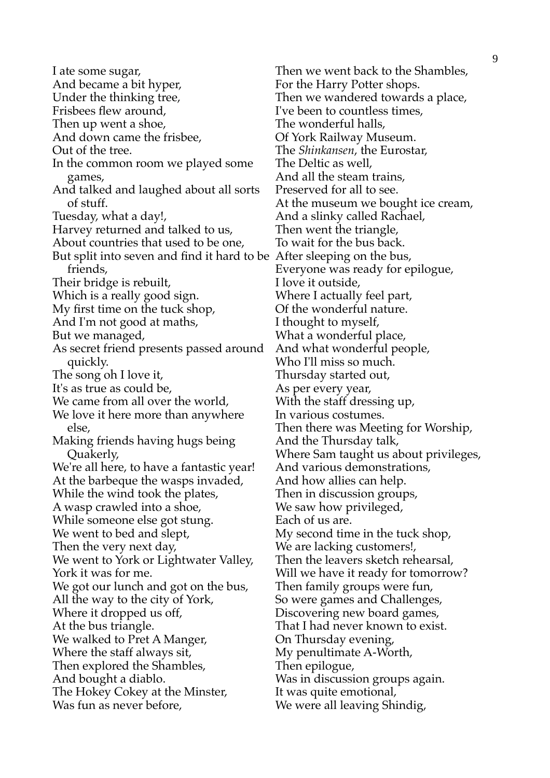I ate some sugar, And became a bit hyper, Under the thinking tree, Frisbees flew around, Then up went a shoe, And down came the frisbee, Out of the tree. In the common room we played some games, And talked and laughed about all sorts of stuff. Tuesday, what a day!, Harvey returned and talked to us, About countries that used to be one, But split into seven and find it hard to be After sleeping on the bus, friends, Their bridge is rebuilt, Which is a really good sign. My first time on the tuck shop, And I'm not good at maths, But we managed, As secret friend presents passed around quickly. The song oh I love it, It's as true as could be, We came from all over the world, We love it here more than anywhere else, Making friends having hugs being Quakerly, We're all here, to have a fantastic year! At the barbeque the wasps invaded, While the wind took the plates, A wasp crawled into a shoe, While someone else got stung. We went to bed and slept, Then the very next day, We went to York or Lightwater Valley, York it was for me. We got our lunch and got on the bus, All the way to the city of York, Where it dropped us off, At the bus triangle. We walked to Pret A Manger, Where the staff always sit, Then explored the Shambles, And bought a diablo. The Hokey Cokey at the Minster, Was fun as never before,

Then we went back to the Shambles, For the Harry Potter shops. Then we wandered towards a place, I've been to countless times, The wonderful halls, Of York Railway Museum. The *Shinkansen*, the Eurostar, The Deltic as well, And all the steam trains, Preserved for all to see. At the museum we bought ice cream, And a slinky called Rachael, Then went the triangle, To wait for the bus back. Everyone was ready for epilogue, I love it outside, Where I actually feel part, Of the wonderful nature. I thought to myself, What a wonderful place, And what wonderful people, Who I'll miss so much. Thursday started out, As per every year, With the staff dressing up, In various costumes. Then there was Meeting for Worship, And the Thursday talk, Where Sam taught us about privileges, And various demonstrations, And how allies can help. Then in discussion groups, We saw how privileged, Each of us are. My second time in the tuck shop, We are lacking customers!, Then the leavers sketch rehearsal, Will we have it ready for tomorrow? Then family groups were fun, So were games and Challenges, Discovering new board games, That I had never known to exist. On Thursday evening, My penultimate A-Worth, Then epilogue, Was in discussion groups again. It was quite emotional, We were all leaving Shindig,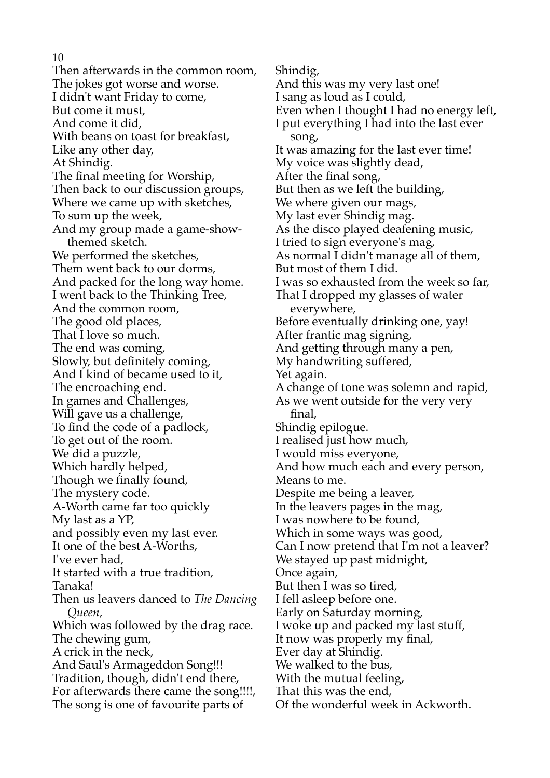10 Then afterwards in the common room, The jokes got worse and worse. I didn't want Friday to come, But come it must, And come it did, With beans on toast for breakfast, Like any other day, At Shindig. The final meeting for Worship, Then back to our discussion groups, Where we came up with sketches, To sum up the week, And my group made a game-show themed sketch. We performed the sketches, Them went back to our dorms, And packed for the long way home. I went back to the Thinking Tree, And the common room, The good old places, That I love so much. The end was coming, Slowly, but definitely coming, And I kind of became used to it, The encroaching end. In games and Challenges, Will gave us a challenge, To find the code of a padlock, To get out of the room. We did a puzzle, Which hardly helped, Though we finally found, The mystery code. A-Worth came far too quickly My last as a YP, and possibly even my last ever. It one of the best A-Worths, I've ever had, It started with a true tradition, Tanaka! Then us leavers danced to *The Dancing Queen*, Which was followed by the drag race. The chewing gum, A crick in the neck, And Saul's Armageddon Song!!! Tradition, though, didn't end there, For afterwards there came the song!!!!, The song is one of favourite parts of

Shindig, And this was my very last one! I sang as loud as I could, Even when I thought I had no energy left, I put everything I had into the last ever song, It was amazing for the last ever time! My voice was slightly dead, After the final song, But then as we left the building, We where given our mags, My last ever Shindig mag. As the disco played deafening music, I tried to sign everyone's mag, As normal I didn't manage all of them, But most of them I did. I was so exhausted from the week so far, That I dropped my glasses of water everywhere, Before eventually drinking one, yay! After frantic mag signing, And getting through many a pen, My handwriting suffered, Yet again. A change of tone was solemn and rapid, As we went outside for the very very final, Shindig epilogue. I realised just how much, I would miss everyone, And how much each and every person, Means to me. Despite me being a leaver, In the leavers pages in the mag, I was nowhere to be found, Which in some ways was good, Can I now pretend that I'm not a leaver? We stayed up past midnight, Once again, But then I was so tired, I fell asleep before one. Early on Saturday morning, I woke up and packed my last stuff, It now was properly my final, Ever day at Shindig. We walked to the bus, With the mutual feeling, That this was the end, Of the wonderful week in Ackworth.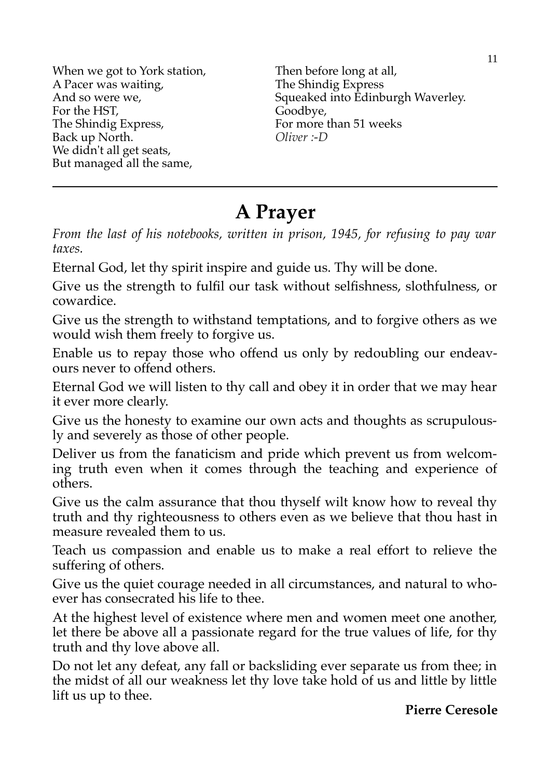When we got to York station, A Pacer was waiting, And so were we, For the HST, The Shindig Express, Back up North. We didn't all get seats, But managed all the same,

Then before long at all, The Shindig Express Squeaked into Edinburgh Waverley. Goodbye, For more than 51 weeks *Oliver :-D*

# **A Prayer**

*From the last of his notebooks, written in prison, 1945, for refusing to pay war taxes.* 

Eternal God, let thy spirit inspire and guide us. Thy will be done.

Give us the strength to fulfil our task without selfishness, slothfulness, or cowardice.

Give us the strength to withstand temptations, and to forgive others as we would wish them freely to forgive us.

Enable us to repay those who offend us only by redoubling our endeavours never to offend others.

Eternal God we will listen to thy call and obey it in order that we may hear it ever more clearly.

Give us the honesty to examine our own acts and thoughts as scrupulously and severely as those of other people.

Deliver us from the fanaticism and pride which prevent us from welcoming truth even when it comes through the teaching and experience of others.

Give us the calm assurance that thou thyself wilt know how to reveal thy truth and thy righteousness to others even as we believe that thou hast in measure revealed them to us.

Teach us compassion and enable us to make a real effort to relieve the suffering of others.

Give us the quiet courage needed in all circumstances, and natural to whoever has consecrated his life to thee.

At the highest level of existence where men and women meet one another, let there be above all a passionate regard for the true values of life, for thy truth and thy love above all.

Do not let any defeat, any fall or backsliding ever separate us from thee; in the midst of all our weakness let thy love take hold of us and little by little lift us up to thee.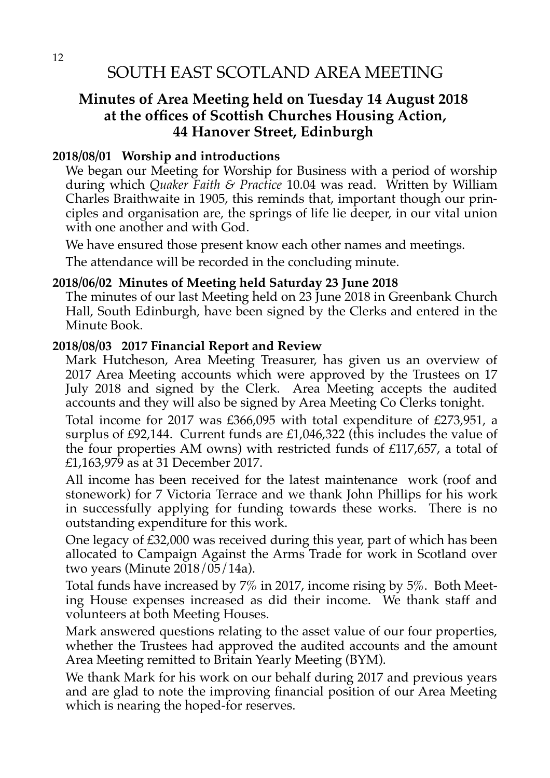### **Minutes of Area Meeting held on Tuesday 14 August 2018 at the offices of Scottish Churches Housing Action, 44 Hanover Street, Edinburgh**

#### **2018/08/01 Worship and introductions**

We began our Meeting for Worship for Business with a period of worship during which *Quaker Faith & Practice* 10.04 was read. Written by William Charles Braithwaite in 1905, this reminds that, important though our principles and organisation are, the springs of life lie deeper, in our vital union with one another and with God.

We have ensured those present know each other names and meetings.

The attendance will be recorded in the concluding minute.

#### **2018/06/02 Minutes of Meeting held Saturday 23 June 2018**

The minutes of our last Meeting held on 23 June 2018 in Greenbank Church Hall, South Edinburgh, have been signed by the Clerks and entered in the Minute Book.

#### **2018/08/03 2017 Financial Report and Review**

Mark Hutcheson, Area Meeting Treasurer, has given us an overview of 2017 Area Meeting accounts which were approved by the Trustees on 17 July 2018 and signed by the Clerk. Area Meeting accepts the audited accounts and they will also be signed by Area Meeting Co Clerks tonight.

Total income for 2017 was £366,095 with total expenditure of £273,951, a surplus of £92,144. Current funds are £1,046,322 (this includes the value of the four properties AM owns) with restricted funds of £117,657, a total of £1,163,979 as at 31 December 2017.

All income has been received for the latest maintenance work (roof and stonework) for 7 Victoria Terrace and we thank John Phillips for his work in successfully applying for funding towards these works. There is no outstanding expenditure for this work.

One legacy of £32,000 was received during this year, part of which has been allocated to Campaign Against the Arms Trade for work in Scotland over two years (Minute 2018/05/14a).

Total funds have increased by 7% in 2017, income rising by 5%. Both Meeting House expenses increased as did their income. We thank staff and volunteers at both Meeting Houses.

Mark answered questions relating to the asset value of our four properties, whether the Trustees had approved the audited accounts and the amount Area Meeting remitted to Britain Yearly Meeting (BYM).

We thank Mark for his work on our behalf during 2017 and previous years and are glad to note the improving financial position of our Area Meeting which is nearing the hoped-for reserves.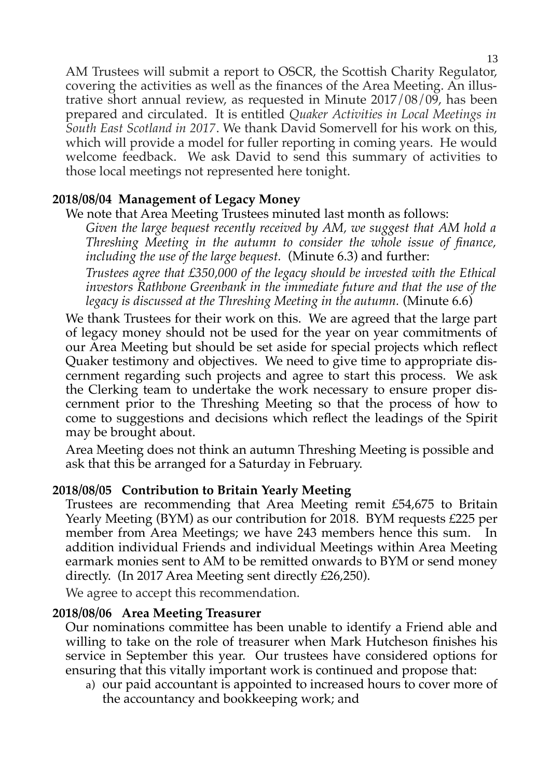AM Trustees will submit a report to OSCR, the Scottish Charity Regulator, covering the activities as well as the finances of the Area Meeting. An illustrative short annual review, as requested in Minute 2017/08/09, has been prepared and circulated. It is entitled *Quaker Activities in Local Meetings in South East Scotland in 2017*. We thank David Somervell for his work on this, which will provide a model for fuller reporting in coming years. He would welcome feedback. We ask David to send this summary of activities to those local meetings not represented here tonight.

#### **2018/08/04 Management of Legacy Money**

We note that Area Meeting Trustees minuted last month as follows:

*Given the large bequest recently received by AM, we suggest that AM hold a Threshing Meeting in the autumn to consider the whole issue of finance, including the use of the large bequest.* (Minute 6.3) and further:

*Trustees agree that £350,000 of the legacy should be invested with the Ethical investors Rathbone Greenbank in the immediate future and that the use of the* legacy is discussed at the Threshing Meeting in the autumn. (Minute 6.6)

We thank Trustees for their work on this. We are agreed that the large part of legacy money should not be used for the year on year commitments of our Area Meeting but should be set aside for special projects which reflect Quaker testimony and objectives. We need to give time to appropriate discernment regarding such projects and agree to start this process. We ask the Clerking team to undertake the work necessary to ensure proper discernment prior to the Threshing Meeting so that the process of how to come to suggestions and decisions which reflect the leadings of the Spirit may be brought about.

Area Meeting does not think an autumn Threshing Meeting is possible and ask that this be arranged for a Saturday in February.

#### **2018/08/05 Contribution to Britain Yearly Meeting**

Trustees are recommending that Area Meeting remit £54,675 to Britain Yearly Meeting (BYM) as our contribution for 2018. BYM requests £225 per member from Area Meetings; we have 243 members hence this sum. In addition individual Friends and individual Meetings within Area Meeting earmark monies sent to AM to be remitted onwards to BYM or send money directly. (In 2017 Area Meeting sent directly £26,250).

We agree to accept this recommendation.

#### **2018/08/06 Area Meeting Treasurer**

Our nominations committee has been unable to identify a Friend able and willing to take on the role of treasurer when Mark Hutcheson finishes his service in September this year. Our trustees have considered options for ensuring that this vitally important work is continued and propose that:

a) our paid accountant is appointed to increased hours to cover more of the accountancy and bookkeeping work; and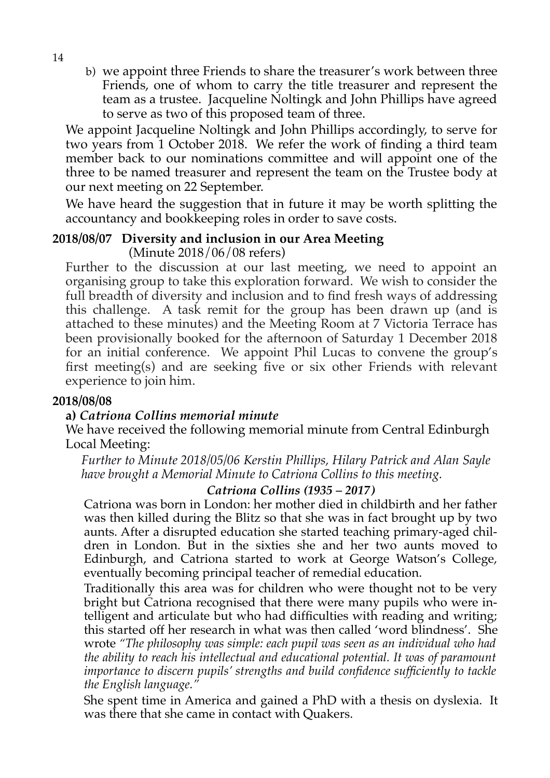b) we appoint three Friends to share the treasurer's work between three Friends, one of whom to carry the title treasurer and represent the team as a trustee. Jacqueline Noltingk and John Phillips have agreed to serve as two of this proposed team of three.

We appoint Jacqueline Noltingk and John Phillips accordingly, to serve for two years from 1 October 2018. We refer the work of finding a third team member back to our nominations committee and will appoint one of the three to be named treasurer and represent the team on the Trustee body at our next meeting on 22 September.

We have heard the suggestion that in future it may be worth splitting the accountancy and bookkeeping roles in order to save costs.

## **2018/08/07 Diversity and inclusion in our Area Meeting**

(Minute 2018/06/08 refers)

Further to the discussion at our last meeting, we need to appoint an organising group to take this exploration forward. We wish to consider the full breadth of diversity and inclusion and to find fresh ways of addressing this challenge. A task remit for the group has been drawn up (and is attached to these minutes) and the Meeting Room at 7 Victoria Terrace has been provisionally booked for the afternoon of Saturday 1 December 2018 for an initial conference. We appoint Phil Lucas to convene the group's first meeting(s) and are seeking five or six other Friends with relevant experience to join him.

#### **2018/08/08**

#### **a)** *Catriona Collins memorial minute*

We have received the following memorial minute from Central Edinburgh Local Meeting:

*Further to Minute 2018/05/06 Kerstin Phillips, Hilary Patrick and Alan Sayle have brought a Memorial Minute to Catriona Collins to this meeting.*

#### *Catriona Collins (1935 – 2017)*

Catriona was born in London: her mother died in childbirth and her father was then killed during the Blitz so that she was in fact brought up by two aunts. After a disrupted education she started teaching primary-aged children in London. But in the sixties she and her two aunts moved to Edinburgh, and Catriona started to work at George Watson's College, eventually becoming principal teacher of remedial education.

Traditionally this area was for children who were thought not to be very bright but Catriona recognised that there were many pupils who were intelligent and articulate but who had difficulties with reading and writing; this started off her research in what was then called 'word blindness'. She wrote *"The philosophy was simple: each pupil was seen as an individual who had the ability to reach his intellectual and educational potential. It was of paramount importance to discern pupils' strengths and build confidence sufficiently to tackle the English language."*

She spent time in America and gained a PhD with a thesis on dyslexia. It was there that she came in contact with Quakers.

14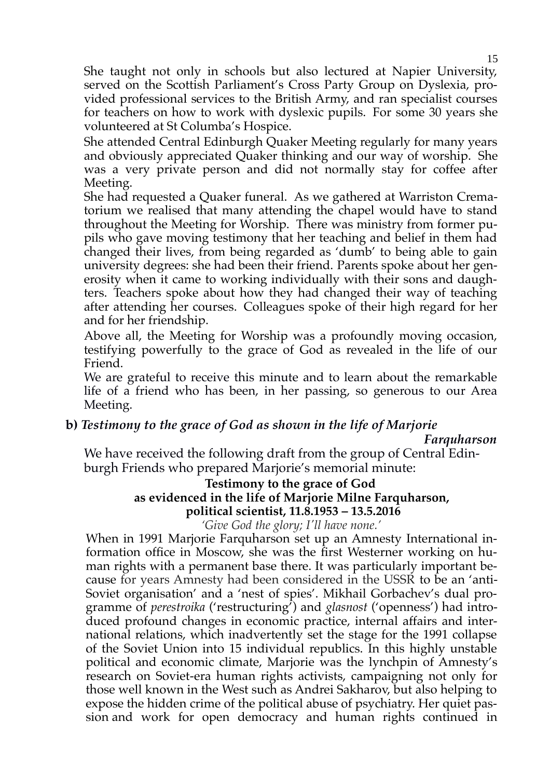She taught not only in schools but also lectured at Napier University, served on the Scottish Parliament's Cross Party Group on Dyslexia, provided professional services to the British Army, and ran specialist courses for teachers on how to work with dyslexic pupils. For some 30 years she volunteered at St Columba's Hospice.

She attended Central Edinburgh Quaker Meeting regularly for many years and obviously appreciated Quaker thinking and our way of worship. She was a very private person and did not normally stay for coffee after Meeting.

She had requested a Quaker funeral. As we gathered at Warriston Crematorium we realised that many attending the chapel would have to stand throughout the Meeting for Worship. There was ministry from former pupils who gave moving testimony that her teaching and belief in them had changed their lives, from being regarded as 'dumb' to being able to gain university degrees: she had been their friend. Parents spoke about her generosity when it came to working individually with their sons and daughters. Teachers spoke about how they had changed their way of teaching after attending her courses. Colleagues spoke of their high regard for her and for her friendship.

Above all, the Meeting for Worship was a profoundly moving occasion, testifying powerfully to the grace of God as revealed in the life of our Friend.

We are grateful to receive this minute and to learn about the remarkable life of a friend who has been, in her passing, so generous to our Area Meeting.

#### **b)** *Testimony to the grace of God as shown in the life of Marjorie*

*Farquharson*

We have received the following draft from the group of Central Edinburgh Friends who prepared Marjorie's memorial minute:

#### **Testimony to the grace of God as evidenced in the life of Marjorie Milne Farquharson, political scientist, 11.8.1953 – 13.5.2016**

*'Give God the glory; I'll have none.'*

When in 1991 Marjorie Farquharson set up an Amnesty International information office in Moscow, she was the first Westerner working on human rights with a permanent base there. It was particularly important because for years Amnesty had been considered in the USSR to be an 'anti-Soviet organisation' and a 'nest of spies'. Mikhail Gorbachev's dual programme of *perestroika* ('restructuring') and *glasnost* ('openness') had introduced profound changes in economic practice, internal affairs and international relations, which inadvertently set the stage for the 1991 collapse of the Soviet Union into 15 individual republics. In this highly unstable political and economic climate, Marjorie was the lynchpin of Amnesty's research on Soviet-era human rights activists, campaigning not only for those well known in the West such as Andrei Sakharov, but also helping to expose the hidden crime of the political abuse of psychiatry. Her quiet passion and work for open democracy and human rights continued in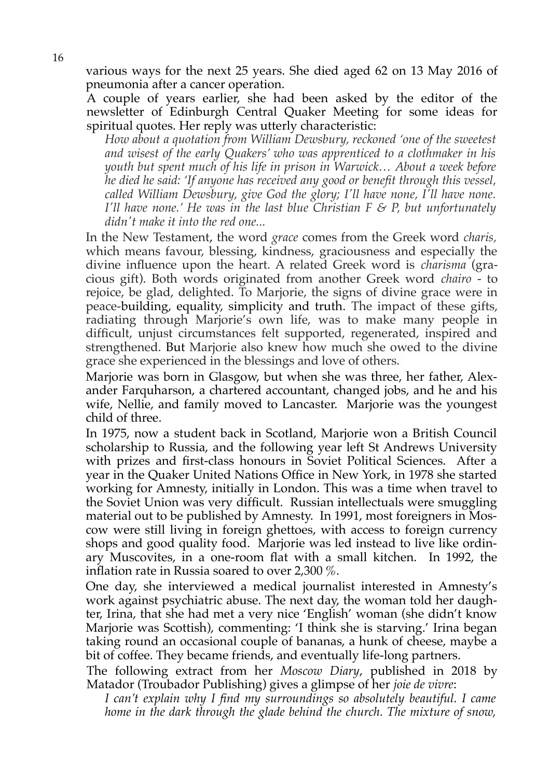various ways for the next 25 years. She died aged 62 on 13 May 2016 of pneumonia after a cancer operation.

A couple of years earlier, she had been asked by the editor of the newsletter of Edinburgh Central Quaker Meeting for some ideas for spiritual quotes. Her reply was utterly characteristic:

*How about a quotation from William Dewsbury, reckoned 'one of the sweetest and wisest of the early Quakers' who was apprenticed to a clothmaker in his youth but spent much of his life in prison in Warwick… About a week before he died he said: 'If anyone has received any good or benefit through this vessel, called William Dewsbury, give God the glory; I'll have none, I'll have none. I'll have none.' He was in the last blue Christian F & P, but unfortunately didn't make it into the red one...*

In the New Testament, the word *grace* comes from the Greek word *charis,* which means favour, blessing, kindness, graciousness and especially the divine influence upon the heart. A related Greek word is *charisma* (gracious gift). Both words originated from another Greek word *chairo* - to rejoice, be glad, delighted. To Marjorie, the signs of divine grace were in peace-building, equality, simplicity and truth. The impact of these gifts, radiating through Marjorie's own life, was to make many people in difficult, unjust circumstances felt supported, regenerated, inspired and strengthened. But Marjorie also knew how much she owed to the divine grace she experienced in the blessings and love of others.

Marjorie was born in Glasgow, but when she was three, her father, Alexander Farquharson, a chartered accountant, changed jobs, and he and his wife, Nellie, and family moved to Lancaster. Marjorie was the youngest child of three.

In 1975, now a student back in Scotland, Marjorie won a British Council scholarship to Russia, and the following year left St Andrews University with prizes and first-class honours in Soviet Political Sciences. After a year in the Quaker United Nations Office in New York, in 1978 she started working for Amnesty, initially in London. This was a time when travel to the Soviet Union was very difficult. Russian intellectuals were smuggling material out to be published by Amnesty. In 1991, most foreigners in Moscow were still living in foreign ghettoes, with access to foreign currency shops and good quality food. Marjorie was led instead to live like ordinary Muscovites, in a one-room flat with a small kitchen. In 1992, the inflation rate in Russia soared to over 2,300 %.

One day, she interviewed a medical journalist interested in Amnesty's work against psychiatric abuse. The next day, the woman told her daughter, Irina, that she had met a very nice 'English' woman (she didn't know Marjorie was Scottish), commenting: 'I think she is starving.' Irina began taking round an occasional couple of bananas, a hunk of cheese, maybe a bit of coffee. They became friends, and eventually life-long partners.

The following extract from her *Moscow Diary*, published in 2018 by Matador (Troubador Publishing) gives a glimpse of her *joie de vivre*:

*I can't explain why I find my surroundings so absolutely beautiful. I came home in the dark through the glade behind the church. The mixture of snow,*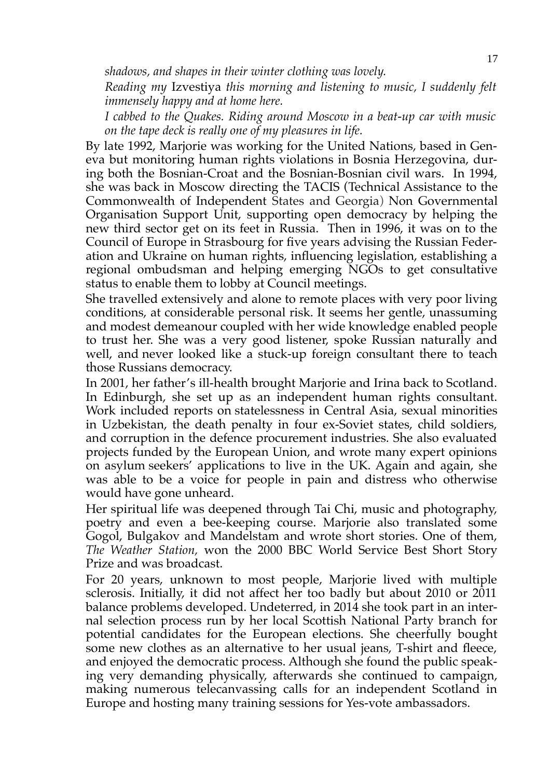*shadows, and shapes in their winter clothing was lovely.* 

*Reading my* Izvestiya *this morning and listening to music, I suddenly felt immensely happy and at home here.*

*I cabbed to the Quakes. Riding around Moscow in a beat-up car with music on the tape deck is really one of my pleasures in life.* 

By late 1992, Marjorie was working for the United Nations, based in Geneva but monitoring human rights violations in Bosnia Herzegovina, during both the Bosnian-Croat and the Bosnian-Bosnian civil wars. In 1994, she was back in Moscow directing the TACIS (Technical Assistance to the Commonwealth of Independent States and Georgia) Non Governmental Organisation Support Unit, supporting open democracy by helping the new third sector get on its feet in Russia. Then in 1996, it was on to the Council of Europe in Strasbourg for five years advising the Russian Federation and Ukraine on human rights, influencing legislation, establishing a regional ombudsman and helping emerging NGOs to get consultative status to enable them to lobby at Council meetings.

She travelled extensively and alone to remote places with very poor living conditions, at considerable personal risk. It seems her gentle, unassuming and modest demeanour coupled with her wide knowledge enabled people to trust her. She was a very good listener, spoke Russian naturally and well, and never looked like a stuck-up foreign consultant there to teach those Russians democracy.

In 2001, her father's ill-health brought Marjorie and Irina back to Scotland. In Edinburgh, she set up as an independent human rights consultant. Work included reports on statelessness in Central Asia, sexual minorities in Uzbekistan, the death penalty in four ex-Soviet states, child soldiers, and corruption in the defence procurement industries. She also evaluated projects funded by the European Union, and wrote many expert opinions on asylum seekers' applications to live in the UK. Again and again, she was able to be a voice for people in pain and distress who otherwise would have gone unheard.

Her spiritual life was deepened through Tai Chi, music and photography, poetry and even a bee-keeping course. Marjorie also translated some Gogol, Bulgakov and Mandelstam and wrote short stories. One of them, *The Weather Station,* won the 2000 BBC World Service Best Short Story Prize and was broadcast.

For 20 years, unknown to most people, Marjorie lived with multiple sclerosis. Initially, it did not affect her too badly but about 2010 or 2011 balance problems developed. Undeterred, in 2014 she took part in an internal selection process run by her local Scottish National Party branch for potential candidates for the European elections. She cheerfully bought some new clothes as an alternative to her usual jeans, T-shirt and fleece, and enjoyed the democratic process. Although she found the public speaking very demanding physically, afterwards she continued to campaign, making numerous telecanvassing calls for an independent Scotland in Europe and hosting many training sessions for Yes-vote ambassadors.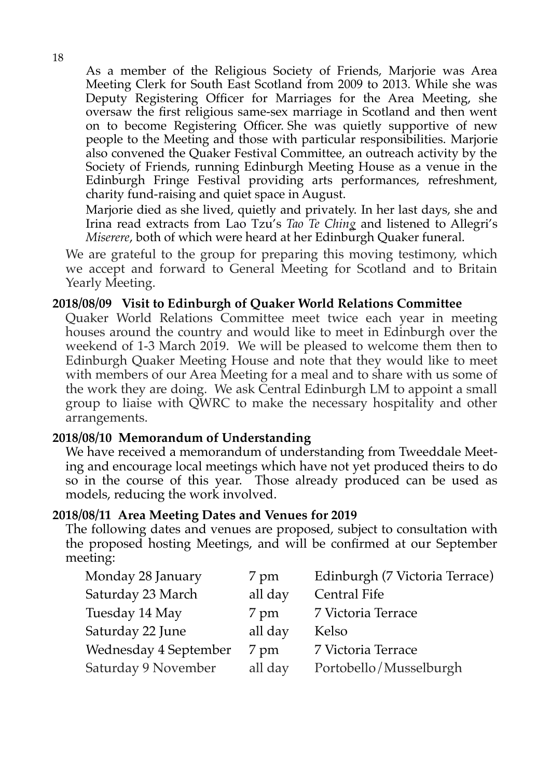As a member of the Religious Society of Friends, Marjorie was Area Meeting Clerk for South East Scotland from 2009 to 2013. While she was Deputy Registering Officer for Marriages for the Area Meeting, she oversaw the first religious same-sex marriage in Scotland and then went on to become Registering Officer. She was quietly supportive of new people to the Meeting and those with particular responsibilities. Marjorie also convened the Quaker Festival Committee, an outreach activity by the Society of Friends, running Edinburgh Meeting House as a venue in the Edinburgh Fringe Festival providing arts performances, refreshment, charity fund-raising and quiet space in August.

Marjorie died as she lived, quietly and privately. In her last days, she and Irina read extracts from [Lao Tzu'](https://www.goodreads.com/author/show/2622245.Lao_Tzu)s *[Tao Te Ching](https://www.goodreads.com/work/quotes/100074)* and listened to Allegri's *Miserere*, both of which were heard at her Edinburgh Quaker funeral.

We are grateful to the group for preparing this moving testimony, which we accept and forward to General Meeting for Scotland and to Britain Yearly Meeting.

#### **2018/08/09 Visit to Edinburgh of Quaker World Relations Committee**

Quaker World Relations Committee meet twice each year in meeting houses around the country and would like to meet in Edinburgh over the weekend of 1-3 March 2019. We will be pleased to welcome them then to Edinburgh Quaker Meeting House and note that they would like to meet with members of our Area Meeting for a meal and to share with us some of the work they are doing. We ask Central Edinburgh LM to appoint a small group to liaise with QWRC to make the necessary hospitality and other arrangements.

#### **2018/08/10 Memorandum of Understanding**

We have received a memorandum of understanding from Tweeddale Meeting and encourage local meetings which have not yet produced theirs to do so in the course of this year. Those already produced can be used as models, reducing the work involved.

#### **2018/08/11 Area Meeting Dates and Venues for 2019**

The following dates and venues are proposed, subject to consultation with the proposed hosting Meetings, and will be confirmed at our September meeting:

| Monday 28 January     | 7 pm    | Edinburgh (7 Victoria Terrace) |
|-----------------------|---------|--------------------------------|
| Saturday 23 March     | all day | <b>Central Fife</b>            |
| Tuesday 14 May        | 7 pm    | 7 Victoria Terrace             |
| Saturday 22 June      | all day | Kelso                          |
| Wednesday 4 September | 7 pm    | 7 Victoria Terrace             |
| Saturday 9 November   | all day | Portobello/Musselburgh         |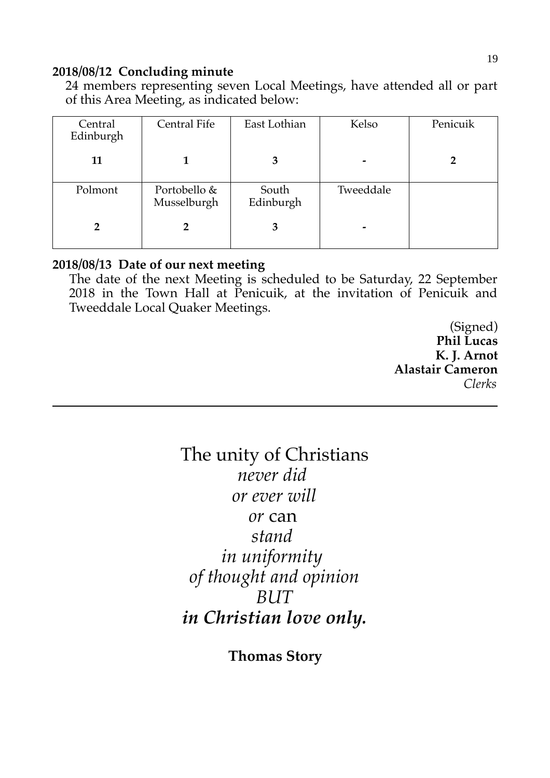#### **2018/08/12 Concluding minute**

24 members representing seven Local Meetings, have attended all or part of this Area Meeting, as indicated below:

| Central<br>Edinburgh | Central Fife                | East Lothian       | Kelso     | Penicuik |
|----------------------|-----------------------------|--------------------|-----------|----------|
| 11                   |                             | 3                  |           |          |
| Polmont              | Portobello &<br>Musselburgh | South<br>Edinburgh | Tweeddale |          |
|                      | 2                           | 3                  | -         |          |

#### **2018/08/13 Date of our next meeting**

The date of the next Meeting is scheduled to be Saturday, 22 September 2018 in the Town Hall at Penicuik, at the invitation of Penicuik and Tweeddale Local Quaker Meetings.

> (Signed) **Phil Lucas K. J. Arnot Alastair Cameron** *Clerks*

## The unity of Christians *never did or ever will or* can *stand in uniformity of thought and opinion BUT in Christian love only.*

**Thomas Story**